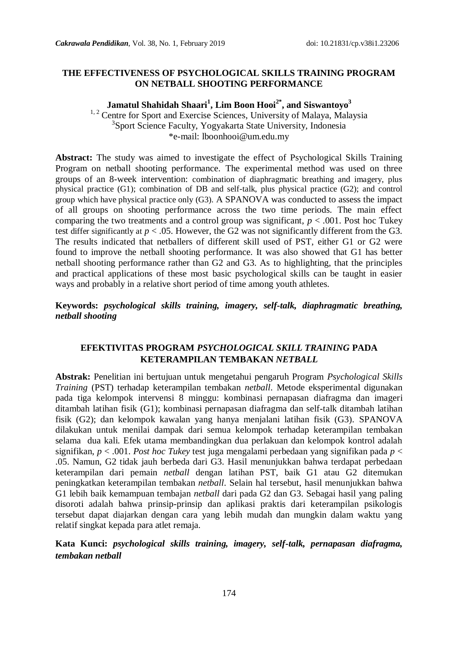#### **THE EFFECTIVENESS OF PSYCHOLOGICAL SKILLS TRAINING PROGRAM ON NETBALL SHOOTING PERFORMANCE**

**Jamatul Shahidah Shaari<sup>1</sup> , Lim Boon Hooi2\* , and Siswantoyo<sup>3</sup>**

<sup>1, 2</sup> Centre for Sport and Exercise Sciences, University of Malaya, Malaysia 3 Sport Science Faculty, Yogyakarta State University, Indonesia \*e-mail: lboonhooi@um.edu.my

**Abstract:** The study was aimed to investigate the effect of Psychological Skills Training Program on netball shooting performance. The experimental method was used on three groups of an 8-week intervention: combination of diaphragmatic breathing and imagery, plus physical practice (G1); combination of DB and self-talk, plus physical practice (G2); and control group which have physical practice only (G3). A SPANOVA was conducted to assess the impact of all groups on shooting performance across the two time periods. The main effect comparing the two treatments and a control group was significant,  $p < .001$ . Post hoc Tukey test differ significantly at  $p < .05$ . However, the G2 was not significantly different from the G3. The results indicated that netballers of different skill used of PST, either G1 or G2 were found to improve the netball shooting performance. It was also showed that G1 has better netball shooting performance rather than G2 and G3. As to highlighting, that the principles and practical applications of these most basic psychological skills can be taught in easier ways and probably in a relative short period of time among youth athletes.

**Keywords:** *psychological skills training, imagery, self-talk, diaphragmatic breathing, netball shooting* 

#### **EFEKTIVITAS PROGRAM** *PSYCHOLOGICAL SKILL TRAINING* **PADA KETERAMPILAN TEMBAKAN** *NETBALL*

**Abstrak:** Penelitian ini bertujuan untuk mengetahui pengaruh Program *Psychological Skills Training* (PST) terhadap keterampilan tembakan *netball*. Metode eksperimental digunakan pada tiga kelompok intervensi 8 minggu: kombinasi pernapasan diafragma dan imageri ditambah latihan fisik (G1); kombinasi pernapasan diafragma dan self-talk ditambah latihan fisik (G2); dan kelompok kawalan yang hanya menjalani latihan fisik (G3). SPANOVA dilakukan untuk menilai dampak dari semua kelompok terhadap keterampilan tembakan selama dua kali. Efek utama membandingkan dua perlakuan dan kelompok kontrol adalah signifikan, *p* < .001. *Post hoc Tukey* test juga mengalami perbedaan yang signifikan pada *p* < .05. Namun, G2 tidak jauh berbeda dari G3. Hasil menunjukkan bahwa terdapat perbedaan keterampilan dari pemain *netball* dengan latihan PST, baik G1 atau G2 ditemukan peningkatkan keterampilan tembakan *netball*. Selain hal tersebut, hasil menunjukkan bahwa G1 lebih baik kemampuan tembajan *netball* dari pada G2 dan G3. Sebagai hasil yang paling disoroti adalah bahwa prinsip-prinsip dan aplikasi praktis dari keterampilan psikologis tersebut dapat diajarkan dengan cara yang lebih mudah dan mungkin dalam waktu yang relatif singkat kepada para atlet remaja.

**Kata Kunci:** *psychological skills training, imagery, self-talk, pernapasan diafragma, tembakan netball*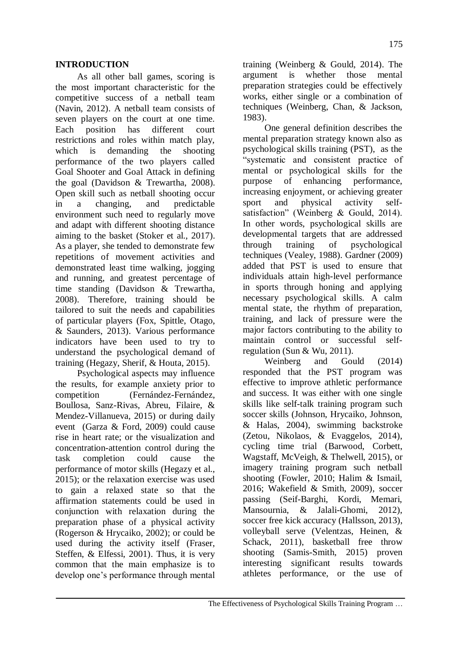#### **INTRODUCTION**

As all other ball games, scoring is the most important characteristic for the competitive success of a netball team (Navin, 2012). A netball team consists of seven players on the court at one time. Each position has different court restrictions and roles within match play, which is demanding the shooting performance of the two players called Goal Shooter and Goal Attack in defining the goal (Davidson & Trewartha, 2008). Open skill such as netball shooting occur in a changing, and predictable environment such need to regularly move and adapt with different shooting distance aiming to the basket (Stoker et al., 2017). As a player, she tended to demonstrate few repetitions of movement activities and demonstrated least time walking, jogging and running, and greatest percentage of time standing (Davidson & Trewartha, 2008). Therefore, training should be tailored to suit the needs and capabilities of particular players (Fox, Spittle, Otago, & Saunders, 2013). Various performance indicators have been used to try to understand the psychological demand of training (Hegazy, Sherif, & Houta, 2015).

Psychological aspects may influence the results, for example anxiety prior to competition (Fernández-Fernández, Boullosa, Sanz-Rivas, Abreu, Filaire, & Mendez-Villanueva, 2015) or during daily event (Garza & Ford, 2009) could cause rise in heart rate; or the visualization and concentration-attention control during the task completion could cause the performance of motor skills (Hegazy et al., 2015); or the relaxation exercise was used to gain a relaxed state so that the affirmation statements could be used in conjunction with relaxation during the preparation phase of a physical activity (Rogerson & Hrycaiko, 2002); or could be used during the activity itself (Fraser, Steffen, & Elfessi, 2001). Thus, it is very common that the main emphasize is to develop one"s performance through mental training (Weinberg & Gould, 2014). The argument is whether those mental preparation strategies could be effectively works, either single or a combination of techniques (Weinberg, Chan, & Jackson, 1983).

One general definition describes the mental preparation strategy known also as psychological skills training (PST), as the "systematic and consistent practice of mental or psychological skills for the purpose of enhancing performance, increasing enjoyment, or achieving greater sport and physical activity selfsatisfaction" (Weinberg & Gould, 2014). In other words, psychological skills are developmental targets that are addressed through training of psychological techniques (Vealey, 1988). Gardner (2009) added that PST is used to ensure that individuals attain high-level performance in sports through honing and applying necessary psychological skills. A calm mental state, the rhythm of preparation, training, and lack of pressure were the major factors contributing to the ability to maintain control or successful selfregulation (Sun & Wu, 2011).

Weinberg and Gould (2014) responded that the PST program was effective to improve athletic performance and success. It was either with one single skills like self-talk training program such soccer skills (Johnson, Hrycaiko, Johnson, & Halas, 2004), swimming backstroke (Zetou, Nikolaos, & Evaggelos, 2014), cycling time trial (Barwood, Corbett, Wagstaff, McVeigh, & Thelwell, 2015), or imagery training program such netball shooting (Fowler, 2010; Halim & Ismail, 2016; Wakefield & Smith, 2009), soccer passing (Seif-Barghi, Kordi, Memari, Mansournia, & Jalali-Ghomi, 2012), soccer free kick accuracy (Hallsson, 2013), volleyball serve (Velentzas, Heinen, & Schack, 2011), basketball free throw shooting (Samis-Smith, 2015) proven interesting significant results towards athletes performance, or the use of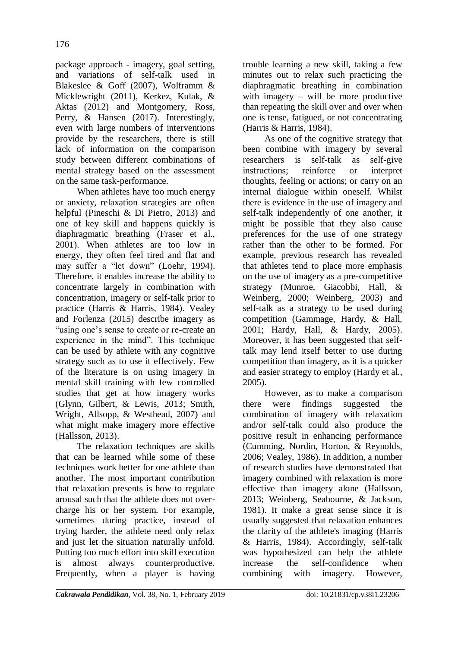package approach - imagery, goal setting, and variations of self-talk used in Blakeslee & Goff (2007), Wolframm & Micklewright (2011), Kerkez, Kulak, & Aktas (2012) and Montgomery, Ross, Perry, & Hansen (2017). Interestingly, even with large numbers of interventions provide by the researchers, there is still lack of information on the comparison study between different combinations of mental strategy based on the assessment on the same task-performance.

When athletes have too much energy or anxiety, relaxation strategies are often helpful (Pineschi & Di Pietro, 2013) and one of key skill and happens quickly is diaphragmatic breathing (Fraser et al., 2001). When athletes are too low in energy, they often feel tired and flat and may suffer a "let down" (Loehr, 1994). Therefore, it enables increase the ability to concentrate largely in combination with concentration, imagery or self-talk prior to practice (Harris & Harris, 1984). Vealey and Forlenza (2015) describe imagery as "using one"s sense to create or re-create an experience in the mind". This technique can be used by athlete with any cognitive strategy such as to use it effectively. Few of the literature is on using imagery in mental skill training with few controlled studies that get at how imagery works (Glynn, Gilbert, & Lewis, 2013; Smith, Wright, Allsopp, & Westhead, 2007) and what might make imagery more effective (Hallsson, 2013).

The relaxation techniques are skills that can be learned while some of these techniques work better for one athlete than another. The most important contribution that relaxation presents is how to regulate arousal such that the athlete does not overcharge his or her system. For example, sometimes during practice, instead of trying harder, the athlete need only relax and just let the situation naturally unfold. Putting too much effort into skill execution is almost always counterproductive. Frequently, when a player is having

trouble learning a new skill, taking a few minutes out to relax such practicing the diaphragmatic breathing in combination with imagery – will be more productive than repeating the skill over and over when one is tense, fatigued, or not concentrating (Harris & Harris, 1984).

As one of the cognitive strategy that been combine with imagery by several researchers is self-talk as self-give instructions; reinforce or interpret thoughts, feeling or actions; or carry on an internal dialogue within oneself. Whilst there is evidence in the use of imagery and self-talk independently of one another, it might be possible that they also cause preferences for the use of one strategy rather than the other to be formed. For example, previous research has revealed that athletes tend to place more emphasis on the use of imagery as a pre-competitive strategy (Munroe, Giacobbi, Hall, & Weinberg, 2000; Weinberg, 2003) and self-talk as a strategy to be used during competition (Gammage, Hardy, & Hall, 2001; Hardy, Hall, & Hardy, 2005). Moreover, it has been suggested that selftalk may lend itself better to use during competition than imagery, as it is a quicker and easier strategy to employ (Hardy et al., 2005).

However, as to make a comparison there were findings suggested the combination of imagery with relaxation and/or self-talk could also produce the positive result in enhancing performance (Cumming, Nordin, Horton, & Reynolds, 2006; Vealey, 1986). In addition, a number of research studies have demonstrated that imagery combined with relaxation is more effective than imagery alone (Hallsson, 2013; Weinberg, Seabourne, & Jackson, 1981). It make a great sense since it is usually suggested that relaxation enhances the clarity of the athlete's imaging (Harris & Harris, 1984). Accordingly, self-talk was hypothesized can help the athlete increase the self-confidence when combining with imagery. However,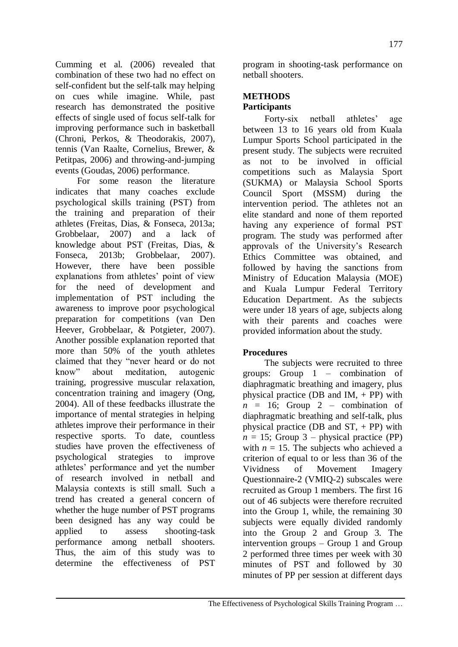Cumming et al. (2006) revealed that combination of these two had no effect on self-confident but the self-talk may helping on cues while imagine. While, past research has demonstrated the positive effects of single used of focus self-talk for improving performance such in basketball (Chroni, Perkos, & Theodorakis, 2007), tennis (Van Raalte, Cornelius, Brewer, & Petitpas, 2006) and throwing-and-jumping events (Goudas, 2006) performance.

For some reason the literature indicates that many coaches exclude psychological skills training (PST) from the training and preparation of their athletes (Freitas, Dias, & Fonseca, 2013a; Grobbelaar, 2007) and a lack of knowledge about PST (Freitas, Dias, & Fonseca, 2013b; Grobbelaar, 2007). However, there have been possible explanations from athletes' point of view for the need of development and implementation of PST including the awareness to improve poor psychological preparation for competitions (van Den Heever, Grobbelaar, & Potgieter, 2007). Another possible explanation reported that more than 50% of the youth athletes claimed that they "never heard or do not know" about meditation, autogenic training, progressive muscular relaxation, concentration training and imagery (Ong, 2004). All of these feedbacks illustrate the importance of mental strategies in helping athletes improve their performance in their respective sports. To date, countless studies have proven the effectiveness of psychological strategies to improve athletes" performance and yet the number of research involved in netball and Malaysia contexts is still small. Such a trend has created a general concern of whether the huge number of PST programs been designed has any way could be applied to assess shooting-task performance among netball shooters. Thus, the aim of this study was to determine the effectiveness of PST

program in shooting-task performance on netball shooters.

## **METHODS Participants**

Forty-six netball athletes' age between 13 to 16 years old from Kuala Lumpur Sports School participated in the present study. The subjects were recruited as not to be involved in official competitions such as Malaysia Sport (SUKMA) or Malaysia School Sports Council Sport (MSSM) during the intervention period. The athletes not an elite standard and none of them reported having any experience of formal PST program. The study was performed after approvals of the University"s Research Ethics Committee was obtained, and followed by having the sanctions from Ministry of Education Malaysia (MOE) and Kuala Lumpur Federal Territory Education Department. As the subjects were under 18 years of age, subjects along with their parents and coaches were provided information about the study.

# **Procedures**

The subjects were recruited to three groups: Group 1 – combination of diaphragmatic breathing and imagery, plus physical practice (DB and  $IM$ , + PP) with  $n = 16$ ; Group 2 – combination of diaphragmatic breathing and self-talk, plus physical practice (DB and  $ST + PP$ ) with  $n = 15$ ; Group 3 – physical practice (PP) with  $n = 15$ . The subjects who achieved a criterion of equal to or less than 36 of the Vividness of Movement Imagery Questionnaire-2 (VMIQ-2) subscales were recruited as Group 1 members. The first 16 out of 46 subjects were therefore recruited into the Group 1, while, the remaining 30 subjects were equally divided randomly into the Group 2 and Group 3. The intervention groups – Group 1 and Group 2 performed three times per week with 30 minutes of PST and followed by 30 minutes of PP per session at different days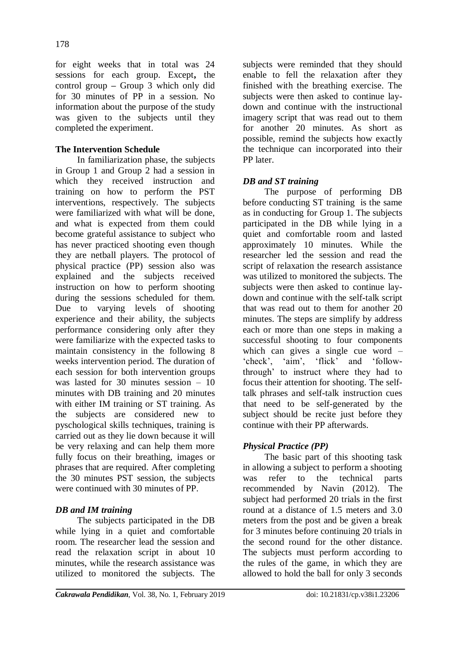for eight weeks that in total was 24 sessions for each group. Except**,** the control group **–** Group 3 which only did for 30 minutes of PP in a session. No information about the purpose of the study was given to the subjects until they completed the experiment.

## **The Intervention Schedule**

In familiarization phase, the subjects in Group 1 and Group 2 had a session in which they received instruction and training on how to perform the PST interventions, respectively. The subjects were familiarized with what will be done, and what is expected from them could become grateful assistance to subject who has never practiced shooting even though they are netball players. The protocol of physical practice (PP) session also was explained and the subjects received instruction on how to perform shooting during the sessions scheduled for them. Due to varying levels of shooting experience and their ability, the subjects performance considering only after they were familiarize with the expected tasks to maintain consistency in the following 8 weeks intervention period. The duration of each session for both intervention groups was lasted for 30 minutes session – 10 minutes with DB training and 20 minutes with either IM training or ST training. As the subjects are considered new to pyschological skills techniques, training is carried out as they lie down because it will be very relaxing and can help them more fully focus on their breathing, images or phrases that are required. After completing the 30 minutes PST session, the subjects were continued with 30 minutes of PP.

## *DB and IM training*

The subjects participated in the DB while lying in a quiet and comfortable room. The researcher lead the session and read the relaxation script in about 10 minutes, while the research assistance was utilized to monitored the subjects. The subjects were reminded that they should enable to fell the relaxation after they finished with the breathing exercise. The subjects were then asked to continue laydown and continue with the instructional imagery script that was read out to them for another 20 minutes. As short as possible, remind the subjects how exactly the technique can incorporated into their PP later.

## *DB and ST training*

The purpose of performing DB before conducting ST training is the same as in conducting for Group 1. The subjects participated in the DB while lying in a quiet and comfortable room and lasted approximately 10 minutes. While the researcher led the session and read the script of relaxation the research assistance was utilized to monitored the subjects. The subjects were then asked to continue laydown and continue with the self-talk script that was read out to them for another 20 minutes. The steps are simplify by address each or more than one steps in making a successful shooting to four components which can gives a single cue word – "check", "aim", "flick" and "followthrough" to instruct where they had to focus their attention for shooting. The selftalk phrases and self-talk instruction cues that need to be self-generated by the subject should be recite just before they continue with their PP afterwards.

## *Physical Practice (PP)*

The basic part of this shooting task in allowing a subject to perform a shooting was refer to the technical parts recommended by Navin (2012). The subject had performed 20 trials in the first round at a distance of 1.5 meters and 3.0 meters from the post and be given a break for 3 minutes before continuing 20 trials in the second round for the other distance. The subjects must perform according to the rules of the game, in which they are allowed to hold the ball for only 3 seconds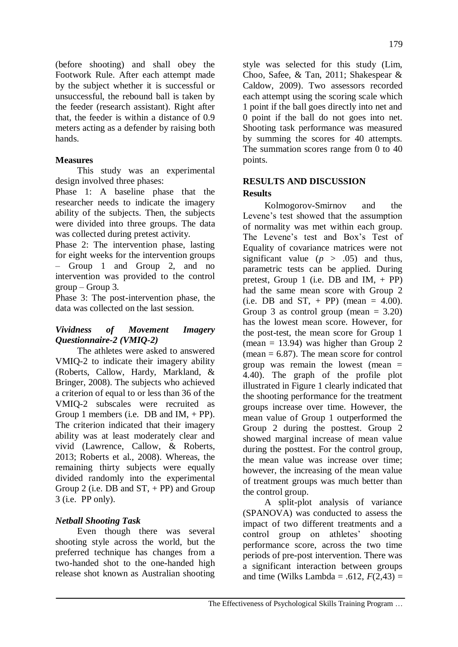(before shooting) and shall obey the Footwork Rule. After each attempt made by the subject whether it is successful or unsuccessful, the rebound ball is taken by the feeder (research assistant). Right after that, the feeder is within a distance of 0.9 meters acting as a defender by raising both hands.

## **Measures**

This study was an experimental design involved three phases:

Phase 1: A baseline phase that the researcher needs to indicate the imagery ability of the subjects. Then, the subjects were divided into three groups. The data was collected during pretest activity.

Phase 2: The intervention phase, lasting for eight weeks for the intervention groups – Group 1 and Group 2, and no intervention was provided to the control  $group - Group 3$ .

Phase 3: The post-intervention phase, the data was collected on the last session.

#### *Vividness of Movement Imagery Questionnaire-2 (VMIQ-2)*

The athletes were asked to answered VMIQ-2 to indicate their imagery ability (Roberts, Callow, Hardy, Markland, & Bringer, 2008). The subjects who achieved a criterion of equal to or less than 36 of the VMIQ-2 subscales were recruited as Group 1 members (i.e. DB and  $IM$ , + PP). The criterion indicated that their imagery ability was at least moderately clear and vivid (Lawrence, Callow, & Roberts, 2013; Roberts et al., 2008). Whereas, the remaining thirty subjects were equally divided randomly into the experimental Group 2 (i.e.  $DB$  and  $ST$ , + PP) and Group 3 (i.e. PP only).

## *Netball Shooting Task*

Even though there was several shooting style across the world, but the preferred technique has changes from a two-handed shot to the one-handed high release shot known as Australian shooting style was selected for this study (Lim, Choo, Safee, & Tan, 2011; Shakespear & Caldow, 2009). Two assessors recorded each attempt using the scoring scale which 1 point if the ball goes directly into net and 0 point if the ball do not goes into net. Shooting task performance was measured by summing the scores for 40 attempts. The summation scores range from 0 to 40 points.

## **RESULTS AND DISCUSSION Results**

Kolmogorov-Smirnov and the Levene"s test showed that the assumption of normality was met within each group. The Levene's test and Box's Test of Equality of covariance matrices were not significant value  $(p > .05)$  and thus, parametric tests can be applied. During pretest, Group 1 (i.e. DB and  $IM, + PP$ ) had the same mean score with Group 2 (i.e. DB and ST,  $+$  PP) (mean  $=$  4.00). Group 3 as control group (mean  $= 3.20$ ) has the lowest mean score. However, for the post-test, the mean score for Group 1 (mean  $= 13.94$ ) was higher than Group 2 (mean  $= 6.87$ ). The mean score for control group was remain the lowest (mean  $=$ 4.40). The graph of the profile plot illustrated in Figure 1 clearly indicated that the shooting performance for the treatment groups increase over time. However, the mean value of Group 1 outperformed the Group 2 during the posttest. Group 2 showed marginal increase of mean value during the posttest. For the control group, the mean value was increase over time; however, the increasing of the mean value of treatment groups was much better than the control group.

A split-plot analysis of variance (SPANOVA) was conducted to assess the impact of two different treatments and a control group on athletes' shooting performance score, across the two time periods of pre-post intervention. There was a significant interaction between groups and time (Wilks Lambda = .612,  $F(2,43)$  =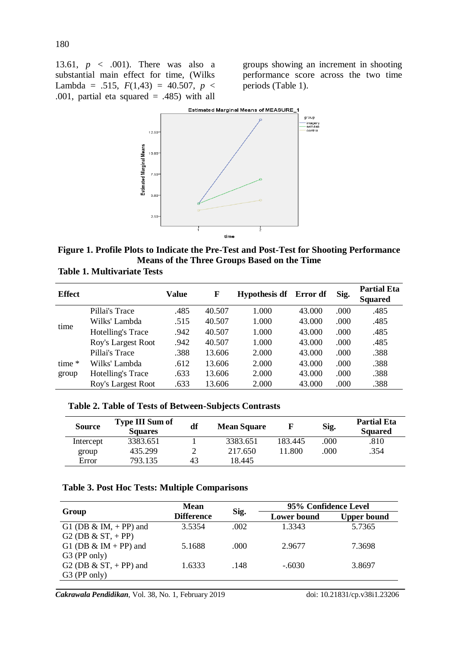13.61, *p* < .001). There was also a substantial main effect for time, (Wilks Lambda = .515,  $F(1,43) = 40.507$ ,  $p <$ .001, partial eta squared  $= .485$ ) with all

groups showing an increment in shooting performance score across the two time periods (Table 1).



**Figure 1. Profile Plots to Indicate the Pre-Test and Post-Test for Shooting Performance Means of the Three Groups Based on the Time**

| <b>Table 1. Multivariate Tests</b> |  |  |  |  |  |
|------------------------------------|--|--|--|--|--|
|------------------------------------|--|--|--|--|--|

| <b>Effect</b> |                    | Value | F      | <b>Hypothesis df</b> | Error df | Sig. | <b>Partial Eta</b><br><b>Squared</b> |
|---------------|--------------------|-------|--------|----------------------|----------|------|--------------------------------------|
|               | Pillai's Trace     | .485  | 40.507 | 1.000                | 43.000   | .000 | .485                                 |
| time          | Wilks' Lambda      | .515  | 40.507 | 1.000                | 43.000   | .000 | .485                                 |
|               | Hotelling's Trace  | .942  | 40.507 | 1.000                | 43.000   | .000 | .485                                 |
|               | Roy's Largest Root | .942  | 40.507 | 1.000                | 43.000   | .000 | .485                                 |
|               | Pillai's Trace     | .388  | 13.606 | 2.000                | 43.000   | .000 | .388                                 |
| time $*$      | Wilks' Lambda      | .612  | 13.606 | 2.000                | 43.000   | .000 | .388                                 |
| group         | Hotelling's Trace  | .633  | 13.606 | 2.000                | 43.000   | .000 | .388                                 |
|               | Roy's Largest Root | .633  | 13.606 | 2.000                | 43.000   | .000 | .388                                 |

**Table 2. Table of Tests of Between-Subjects Contrasts**

| <b>Source</b> | <b>Type III Sum of</b><br><b>Squares</b> | df | <b>Mean Square</b> | F       | Sig. | <b>Partial Eta</b><br><b>Squared</b> |
|---------------|------------------------------------------|----|--------------------|---------|------|--------------------------------------|
| Intercept     | 3383.651                                 |    | 3383.651           | 183.445 | .000 | .810                                 |
| group         | 435.299                                  |    | 217.650            | 11.800  | .000 | .354                                 |
| Error         | 793.135                                  | 43 | 18.445             |         |      |                                      |

#### **Table 3. Post Hoc Tests: Multiple Comparisons**

|                                                | <b>Mean</b>       |      | 95% Confidence Level |                    |  |
|------------------------------------------------|-------------------|------|----------------------|--------------------|--|
| Group                                          | <b>Difference</b> | Sig. | <b>Lower</b> bound   | <b>Upper bound</b> |  |
| G1 (DB & IM, $+$ PP) and                       | 3.5354            | .002 | 1.3343               | 5.7365             |  |
| G <sub>2</sub> (DB $\&$ S <sub>T</sub> , + PP) |                   |      |                      |                    |  |
| G1 (DB $\&$ IM + PP) and                       | 5.1688            | .000 | 2.9677               | 7.3698             |  |
| G3 (PP only)                                   |                   |      |                      |                    |  |
| G2 (DB $\&$ ST, + PP) and                      | 1.6333            | .148 | $-.6030$             | 3.8697             |  |
| G3 (PP only)                                   |                   |      |                      |                    |  |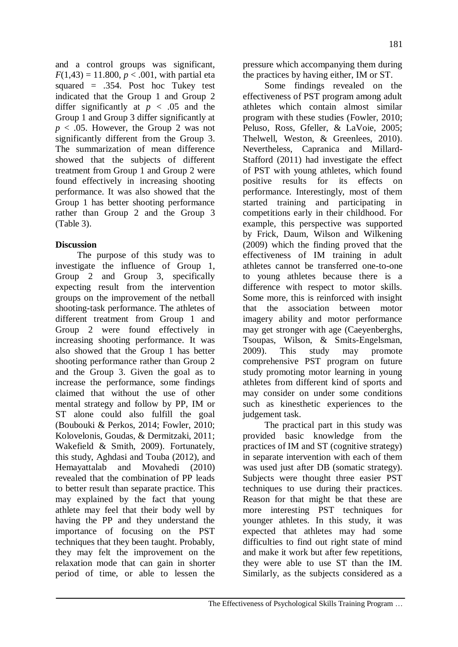and a control groups was significant,  $F(1,43) = 11.800, p < .001$ , with partial eta squared = .354. Post hoc Tukey test indicated that the Group 1 and Group 2 differ significantly at  $p < .05$  and the Group 1 and Group 3 differ significantly at  $p < .05$ . However, the Group 2 was not significantly different from the Group 3. The summarization of mean difference showed that the subjects of different treatment from Group 1 and Group 2 were found effectively in increasing shooting performance. It was also showed that the Group 1 has better shooting performance rather than Group 2 and the Group 3 (Table 3).

#### **Discussion**

The purpose of this study was to investigate the influence of Group 1, Group 2 and Group 3, specifically expecting result from the intervention groups on the improvement of the netball shooting-task performance. The athletes of different treatment from Group 1 and Group 2 were found effectively in increasing shooting performance. It was also showed that the Group 1 has better shooting performance rather than Group 2 and the Group 3. Given the goal as to increase the performance, some findings claimed that without the use of other mental strategy and follow by PP, IM or ST alone could also fulfill the goal (Boubouki & Perkos, 2014; Fowler, 2010; Kolovelonis, Goudas, & Dermitzaki, 2011; Wakefield & Smith, 2009). Fortunately, this study, Aghdasi and Touba (2012), and Hemayattalab and Movahedi (2010) revealed that the combination of PP leads to better result than separate practice. This may explained by the fact that young athlete may feel that their body well by having the PP and they understand the importance of focusing on the PST techniques that they been taught. Probably, they may felt the improvement on the relaxation mode that can gain in shorter period of time, or able to lessen the

pressure which accompanying them during the practices by having either, IM or ST.

Some findings revealed on the effectiveness of PST program among adult athletes which contain almost similar program with these studies (Fowler, 2010; Peluso, Ross, Gfeller, & LaVoie, 2005; Thelwell, Weston, & Greenlees, 2010). Nevertheless, Capranica and Millard-Stafford (2011) had investigate the effect of PST with young athletes, which found positive results for its effects on performance. Interestingly, most of them started training and participating in competitions early in their childhood. For example, this perspective was supported by Frick, Daum, Wilson and Wilkening (2009) which the finding proved that the effectiveness of IM training in adult athletes cannot be transferred one-to-one to young athletes because there is a difference with respect to motor skills. Some more, this is reinforced with insight that the association between motor imagery ability and motor performance may get stronger with age (Caeyenberghs, Tsoupas, Wilson, & Smits-Engelsman, 2009). This study may promote comprehensive PST program on future study promoting motor learning in young athletes from different kind of sports and may consider on under some conditions such as kinesthetic experiences to the judgement task.

The practical part in this study was provided basic knowledge from the practices of IM and ST (cognitive strategy) in separate intervention with each of them was used just after DB (somatic strategy). Subjects were thought three easier PST techniques to use during their practices. Reason for that might be that these are more interesting PST techniques for younger athletes. In this study, it was expected that athletes may had some difficulties to find out right state of mind and make it work but after few repetitions, they were able to use ST than the IM. Similarly, as the subjects considered as a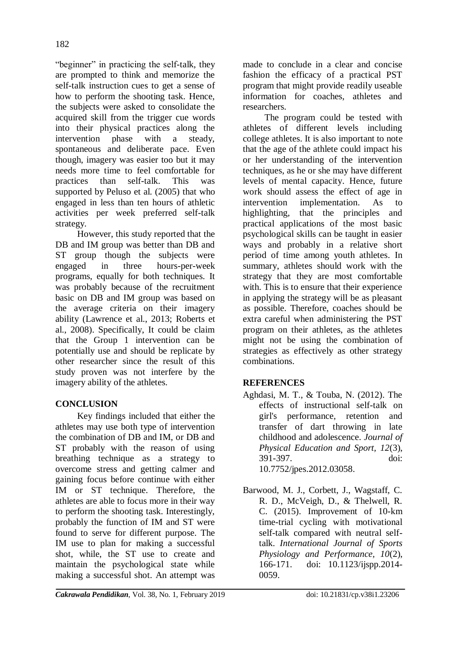"beginner" in practicing the self-talk, they are prompted to think and memorize the self-talk instruction cues to get a sense of how to perform the shooting task. Hence, the subjects were asked to consolidate the acquired skill from the trigger cue words into their physical practices along the intervention phase with a steady, spontaneous and deliberate pace. Even though, imagery was easier too but it may needs more time to feel comfortable for practices than self-talk. This was supported by Peluso et al. (2005) that who engaged in less than ten hours of athletic activities per week preferred self-talk strategy.

However, this study reported that the DB and IM group was better than DB and ST group though the subjects were engaged in three hours-per-week programs, equally for both techniques. It was probably because of the recruitment basic on DB and IM group was based on the average criteria on their imagery ability (Lawrence et al., 2013; Roberts et al., 2008). Specifically, It could be claim that the Group 1 intervention can be potentially use and should be replicate by other researcher since the result of this study proven was not interfere by the imagery ability of the athletes.

# **CONCLUSION**

Key findings included that either the athletes may use both type of intervention the combination of DB and IM, or DB and ST probably with the reason of using breathing technique as a strategy to overcome stress and getting calmer and gaining focus before continue with either IM or ST technique. Therefore, the athletes are able to focus more in their way to perform the shooting task. Interestingly, probably the function of IM and ST were found to serve for different purpose. The IM use to plan for making a successful shot, while, the ST use to create and maintain the psychological state while making a successful shot. An attempt was

made to conclude in a clear and concise fashion the efficacy of a practical PST program that might provide readily useable information for coaches, athletes and researchers.

The program could be tested with athletes of different levels including college athletes. It is also important to note that the age of the athlete could impact his or her understanding of the intervention techniques, as he or she may have different levels of mental capacity. Hence, future work should assess the effect of age in intervention implementation. As to highlighting, that the principles and practical applications of the most basic psychological skills can be taught in easier ways and probably in a relative short period of time among youth athletes. In summary, athletes should work with the strategy that they are most comfortable with. This is to ensure that their experience in applying the strategy will be as pleasant as possible. Therefore, coaches should be extra careful when administering the PST program on their athletes, as the athletes might not be using the combination of strategies as effectively as other strategy combinations.

## **REFERENCES**

- Aghdasi, M. T., & Touba, N. (2012). The effects of instructional self-talk on girl's performance, retention and transfer of dart throwing in late childhood and adolescence. *Journal of Physical Education and Sport, 12*(3), 391-397. doi: [10.7752/jpes.2012.03058.](http://dx.doi.org/10.7752/jpes.2012.03058)
- Barwood, M. J., Corbett, J., Wagstaff, C. R. D., McVeigh, D., & Thelwell, R. C. (2015). Improvement of 10-km time-trial cycling with motivational self-talk compared with neutral selftalk. *International Journal of Sports Physiology and Performance, 10*(2), 166-171. doi: 10.1123/ijspp.2014- 0059.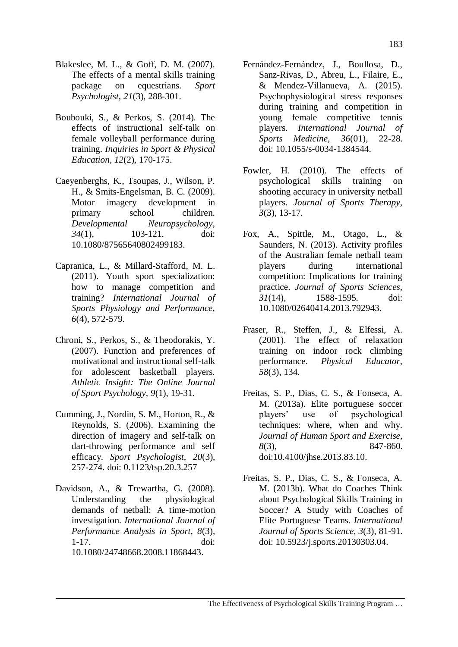- Blakeslee, M. L., & Goff, D. M. (2007). The effects of a mental skills training package on equestrians. *Sport Psychologist, 21*(3), 288-301.
- Boubouki, S., & Perkos, S. (2014). The effects of instructional self-talk on female volleyball performance during training. *Inquiries in Sport & Physical Education, 12*(2), 170-175.
- Caeyenberghs, K., Tsoupas, J., Wilson, P. H., & Smits-Engelsman, B. C. (2009). Motor imagery development in primary school children. *Developmental Neuropsychology, 34*(1), 103-121. doi: [10.1080/87565640802499183.](https://doi.org/10.1080/87565640802499183)
- Capranica, L., & Millard-Stafford, M. L. (2011). Youth sport specialization: how to manage competition and training? *International Journal of Sports Physiology and Performance, 6*(4), 572-579.
- Chroni, S., Perkos, S., & Theodorakis, Y. (2007). Function and preferences of motivational and instructional self-talk for adolescent basketball players. *Athletic Insight: The Online Journal of Sport Psychology, 9*(1), 19-31.
- Cumming, J., Nordin, S. M., Horton, R., & Reynolds, S. (2006). Examining the direction of imagery and self-talk on dart-throwing performance and self efficacy. *Sport Psychologist, 20*(3), 257-274. doi: 0.1123/tsp.20.3.257
- Davidson, A., & Trewartha, G. (2008). Understanding the physiological demands of netball: A time-motion investigation. *International Journal of Performance Analysis in Sport, 8*(3), 1-17. doi: [10.1080/24748668.2008.11868443.](https://doi.org/10.1080/24748668.2008.11868443)
- Fernández-Fernández, J., Boullosa, D., Sanz-Rivas, D., Abreu, L., Filaire, E., & Mendez-Villanueva, A. (2015). Psychophysiological stress responses during training and competition in young female competitive tennis players. *International Journal of Sports Medicine, 36*(01), 22-28. doi: 10.1055/s-0034-1384544.
- Fowler, H. (2010). The effects of psychological skills training on shooting accuracy in university netball players. *Journal of Sports Therapy, 3*(3), 13-17.
- Fox, A., Spittle, M., Otago, L., & Saunders, N. (2013). Activity profiles of the Australian female netball team players during international competition: Implications for training practice. *Journal of Sports Sciences, 31*(14), 1588-1595. doi: [10.1080/02640414.2013.792943.](https://doi.org/10.1080/02640414.2013.792943)
- Fraser, R., Steffen, J., & Elfessi, A. (2001). The effect of relaxation training on indoor rock climbing performance. *Physical Educator, 58*(3), 134.
- Freitas, S. P., Dias, C. S., & Fonseca, A. M. (2013a). Elite portuguese soccer players" use of psychological techniques: where, when and why. *Journal of Human Sport and Exercise, 8*(3), 847-860. doi:10.4100/jhse.2013.83.10.
- Freitas, S. P., Dias, C. S., & Fonseca, A. M. (2013b). What do Coaches Think about Psychological Skills Training in Soccer? A Study with Coaches of Elite Portuguese Teams. *International Journal of Sports Science, 3*(3), 81-91. doi: 10.5923/j.sports.20130303.04.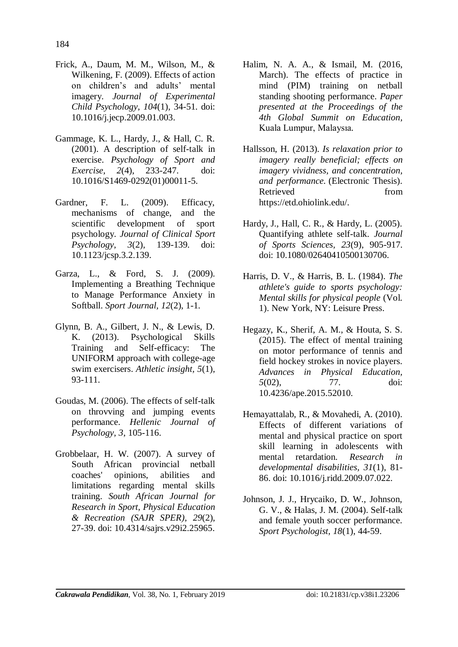- Frick, A., Daum, M. M., Wilson, M., & Wilkening, F. (2009). Effects of action on children"s and adults" mental imagery. *Journal of Experimental Child Psychology, 104*(1), 34-51. doi: [10.1016/j.jecp.2009.01.003.](https://psycnet.apa.org/doi/10.1016/j.jecp.2009.01.003)
- Gammage, K. L., Hardy, J., & Hall, C. R. (2001). A description of self-talk in exercise. *Psychology of Sport and Exercise, 2*(4), 233-247. doi: 10.1016/S1469-0292(01)00011-5.
- Gardner, F. L. (2009). Efficacy, mechanisms of change, and the scientific development of sport psychology. *Journal of Clinical Sport Psychology, 3*(2), 139-139. doi: 10.1123/jcsp.3.2.139.
- Garza, L., & Ford, S. J. (2009). Implementing a Breathing Technique to Manage Performance Anxiety in Softball. *Sport Journal, 12*(2), 1-1.
- Glynn, B. A., Gilbert, J. N., & Lewis, D. K. (2013). Psychological Skills Training and Self-efficacy: The UNIFORM approach with college-age swim exercisers. *Athletic insight, 5*(1), 93-111.
- Goudas, M. (2006). The effects of self-talk on throvving and jumping events performance. *Hellenic Journal of Psychology, 3*, 105-116.
- Grobbelaar, H. W. (2007). A survey of South African provincial netball coaches' opinions, abilities and limitations regarding mental skills training. *South African Journal for Research in Sport, Physical Education & Recreation (SAJR SPER), 29*(2), 27-39. doi: 10.4314/sajrs.v29i2.25965.
- Halim, N. A. A., & Ismail, M. (2016, March). The effects of practice in mind (PIM) training on netball standing shooting performance. *Paper presented at the Proceedings of the 4th Global Summit on Education,*  Kuala Lumpur, Malaysıa*.*
- Hallsson, H. (2013). *Is relaxation prior to imagery really beneficial; effects on imagery vividness, and concentration, and performance.* (Electronic Thesis). Retrieved from [https://etd.ohiolink.edu/.](https://etd.ohiolink.edu/)
- Hardy, J., Hall, C. R., & Hardy, L. (2005). Quantifying athlete self-talk. *Journal of Sports Sciences, 23*(9), 905-917. doi: [10.1080/02640410500130706.](https://doi.org/10.1080/02640410500130706)
- Harris, D. V., & Harris, B. L. (1984). *The athlete's guide to sports psychology: Mental skills for physical people* (Vol. 1). New York, NY: Leisure Press.
- Hegazy, K., Sherif, A. M., & Houta, S. S. (2015). The effect of mental training on motor performance of tennis and field hockey strokes in novice players. *Advances in Physical Education, 5*(02), 77. doi: [10.4236/ape.2015.52010.](http://www.scirp.org/journal/PaperInformation.aspx?PaperID=55608&#abstract)
- Hemayattalab, R., & Movahedi, A. (2010). Effects of different variations of mental and physical practice on sport skill learning in adolescents with mental retardation. *Research in developmental disabilities, 31*(1), 81- 86. doi: [10.1016/j.ridd.2009.07.022.](https://psycnet.apa.org/doi/10.1016/j.ridd.2009.07.022)
- Johnson, J. J., Hrycaiko, D. W., Johnson, G. V., & Halas, J. M. (2004). Self-talk and female youth soccer performance. *Sport Psychologist, 18*(1), 44-59.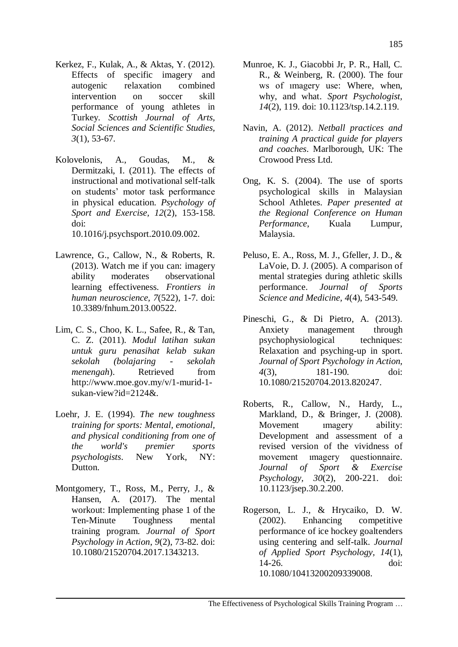- Kerkez, F., Kulak, A., & Aktas, Y. (2012). Effects of specific imagery and autogenic relaxation combined intervention on soccer skill performance of young athletes in Turkey. *Scottish Journal of Arts, Social Sciences and Scientific Studies, 3*(1), 53-67.
- Kolovelonis, A., Goudas, M., & Dermitzaki, I. (2011). The effects of instructional and motivational self-talk on students" motor task performance in physical education. *Psychology of Sport and Exercise, 12*(2), 153-158. doi: 10.1016/j.psychsport.2010.09.002.
- Lawrence, G., Callow, N., & Roberts, R. (2013). Watch me if you can: imagery ability moderates observational learning effectiveness. *Frontiers in human neuroscience, 7*(522), 1-7. doi: [10.3389/fnhum.2013.00522.](https://doi.org/10.3389/fnhum.2013.00522)
- Lim, C. S., Choo, K. L., Safee, R., & Tan, C. Z. (2011). *Modul latihan sukan untuk guru penasihat kelab sukan sekolah (bolajaring - sekolah menengah*). Retrieved from [http://www.moe.gov.my/v/1-murid-1](http://www.moe.gov.my/v/1-murid-1-sukan-view?id=2124&) sukan-view?id= $2124\&$ .
- Loehr, J. E. (1994). *The new toughness training for sports: Mental, emotional, and physical conditioning from one of the world's premier sports psychologists*. New York, NY: Dutton.
- Montgomery, T., Ross, M., Perry, J., & Hansen, A. (2017). The mental workout: Implementing phase 1 of the Ten-Minute Toughness mental training program. *Journal of Sport Psychology in Action*, *9*(2), 73-82. doi: [10.1080/21520704.2017.1343213.](https://doi.org/10.1080/21520704.2017.1343213)
- Munroe, K. J., Giacobbi Jr, P. R., Hall, C. R., & Weinberg, R. (2000). The four ws of ımagery use: Where, when, why, and what. *Sport Psychologist, 14*(2), 119. doi: 10.1123/tsp.14.2.119.
- Navin, A. (2012). *Netball practices and training A practical guide for players and coaches*. Marlborough, UK: The Crowood Press Ltd.
- Ong, K. S. (2004). The use of sports psychological skills in Malaysian School Athletes. *Paper presented at the Regional Conference on Human Performance*, Kuala Lumpur, Malaysia.
- Peluso, E. A., Ross, M. J., Gfeller, J. D., & LaVoie, D. J. (2005). A comparison of mental strategies during athletic skills performance. *Journal of Sports Science and Medicine, 4*(4), 543-549.
- Pineschi, G., & Di Pietro, A. (2013). Anxiety management through psychophysiological techniques: Relaxation and psyching-up in sport. *Journal of Sport Psychology in Action, 4*(3), 181-190. doi: [10.1080/21520704.2013.820247.](https://doi.org/10.1080/21520704.2013.820247)
- Roberts, R., Callow, N., Hardy, L., Markland, D., & Bringer, J. (2008). Movement **imagery** ability: Development and assessment of a revised version of the vividness of movement ımagery questionnaire. *Journal of Sport & Exercise Psychology, 30*(2), 200-221. doi: 10.1123/jsep.30.2.200.
- Rogerson, L. J., & Hrycaiko, D. W. (2002). Enhancing competitive performance of ice hockey goaltenders using centering and self-talk. *Journal of Applied Sport Psychology, 14*(1), 14-26. doi: [10.1080/10413200209339008.](https://doi.org/10.1080/10413200209339008)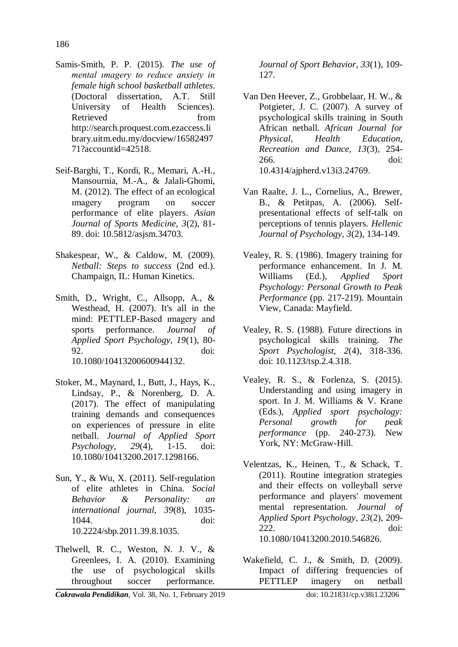Samis-Smith, P. P. (2015). *The use of mental ımagery to reduce anxiety in female high school basketball athletes*. (Doctoral dissertation, A.T. Still University of Health Sciences). Retrieved from [http://search.proquest.com.ezaccess.li](http://search.proquest.com.ezaccess.library.uitm.edu.my/docview/1658249771?accountid=42518) [brary.uitm.edu.my/docview/16582497](http://search.proquest.com.ezaccess.library.uitm.edu.my/docview/1658249771?accountid=42518) [71?accountid=42518.](http://search.proquest.com.ezaccess.library.uitm.edu.my/docview/1658249771?accountid=42518)

- Seif-Barghi, T., Kordi, R., Memari, A.-H., Mansournia, M.-A., & Jalali-Ghomi, M. (2012). The effect of an ecological ımagery program on soccer performance of elite players. *Asian Journal of Sports Medicine, 3*(2), 81- 89. doi: 10.5812/asjsm.34703.
- Shakespear, W., & Caldow, M. (2009). *Netball: Steps to success* (2nd ed.). Champaign, IL: Human Kinetics.
- Smith, D., Wright, C., Allsopp, A., & Westhead, H. (2007). It's all in the mind: PETTLEP-Based ımagery and sports performance. *Journal of Applied Sport Psychology, 19*(1), 80- 92. doi: 10.1080/10413200600944132.
- Stoker, M., Maynard, I., Butt, J., Hays, K., Lindsay, P., & Norenberg, D. A. (2017). The effect of manipulating training demands and consequences on experiences of pressure in elite netball. *Journal of Applied Sport Psychology*, *29*(4), 1-15. doi: [10.1080/10413200.2017.1298166.](https://doi.org/10.1080/10413200.2017.1298166)
- Sun, Y., & Wu, X. (2011). Self-regulation of elite athletes in China. *Social Behavior & Personality: an international journal, 39*(8), 1035- 1044. doi: 10.2224/sbp.2011.39.8.1035.
- Thelwell, R. C., Weston, N. J. V., & Greenlees, I. A. (2010). Examining the use of psychological skills throughout soccer performance.

*Journal of Sport Behavior, 33*(1), 109- 127.

- Van Den Heever, Z., Grobbelaar, H. W., & Potgieter, J. C. (2007). A survey of psychological skills training in South African netball. *African Journal for Physical, Health Education, Recreation and Dance, 13*(3), 254- 266. doi: 10.4314/ajpherd.v13i3.24769.
- Van Raalte, J. L., Cornelius, A., Brewer, B., & Petitpas, A. (2006). Selfpresentational effects of self-talk on perceptions of tennis players. *Hellenic Journal of Psychology, 3*(2), 134-149.
- Vealey, R. S. (1986). Imagery training for performance enhancement. In J. M. Williams (Ed.), *Applied Sport Psychology: Personal Growth to Peak Performance* (pp. 217-219). Mountain View, Canada: Mayfield.
- Vealey, R. S. (1988). Future directions in psychological skills training. *The Sport Psychologist, 2*(4), 318-336. doi: 10.1123/tsp.2.4.318.
- Vealey, R. S., & Forlenza, S. (2015). Understanding and using imagery in sport. In J. M. Williams & V. Krane (Eds.), *Applied sport psychology: Personal growth for peak performance* (pp. 240-273). New York, NY: McGraw-Hill.
- Velentzas, K., Heinen, T., & Schack, T. (2011). Routine integration strategies and their effects on volleyball serve performance and players' movement mental representation. *Journal of Applied Sport Psychology, 23*(2), 209- 222. doi: [10.1080/10413200.2010.546826.](https://doi.org/10.1080/10413200.2010.546826)
- Wakefield, C. J., & Smith, D. (2009). Impact of differing frequencies of PETTLEP imagery on netball

*Cakrawala Pendidikan*, Vol. 38, No. 1, February 2019 doi: 10.21831/cp.v38i1.23206